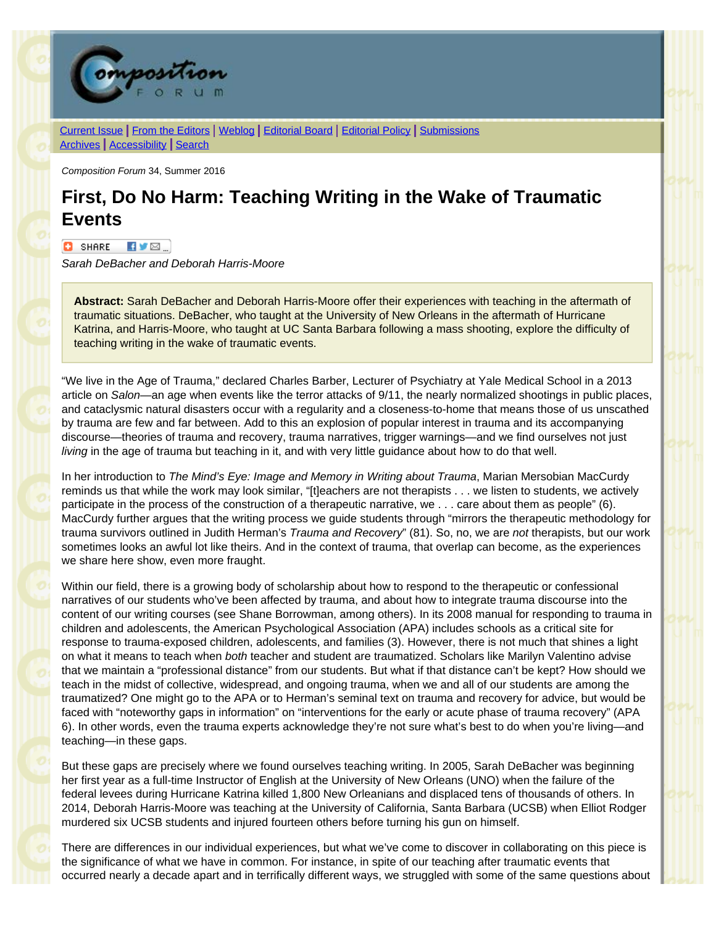

[Current Issue](http://compositionforum.com/issue/34/) | From the [Editors](http://compositionforum.com/issue/34/from-the-editors.php) | [Weblog](http://compositionforum.com/blog/) | [Editorial](http://compositionforum.com/editorial-policy.php) Board | Editorial Policy | [Submissions](http://compositionforum.com/submissions.php) [Archives](http://compositionforum.com/archives.php) | [Accessibility](http://compositionforum.com/accessibility.php) | [Search](http://compositionforum.com/search.php)

*Composition Forum* 34, Summer 2016

## **First, Do No Harm: Teaching Writing in the Wake of Traumatic Events**

 $\bullet$  SHARE  $\bullet$   $\bullet$   $\bullet$   $\bullet$ 

*Sarah DeBacher and Deborah Harris-Moore*

**Abstract:** Sarah DeBacher and Deborah Harris-Moore offer their experiences with teaching in the aftermath of traumatic situations. DeBacher, who taught at the University of New Orleans in the aftermath of Hurricane Katrina, and Harris-Moore, who taught at UC Santa Barbara following a mass shooting, explore the difficulty of teaching writing in the wake of traumatic events.

"We live in the Age of Trauma," declared Charles Barber, Lecturer of Psychiatry at Yale Medical School in a 2013 article on *Salon*—an age when events like the terror attacks of 9/11, the nearly normalized shootings in public places, and cataclysmic natural disasters occur with a regularity and a closeness-to-home that means those of us unscathed by trauma are few and far between. Add to this an explosion of popular interest in trauma and its accompanying discourse—theories of trauma and recovery, trauma narratives, trigger warnings—and we find ourselves not just *living* in the age of trauma but teaching in it, and with very little guidance about how to do that well.

In her introduction to *The Mind's Eye: Image and Memory in Writing about Trauma*, Marian Mersobian MacCurdy reminds us that while the work may look similar, "[t]eachers are not therapists . . . we listen to students, we actively participate in the process of the construction of a therapeutic narrative, we . . . care about them as people" (6). MacCurdy further argues that the writing process we guide students through "mirrors the therapeutic methodology for trauma survivors outlined in Judith Herman's *Trauma and Recovery*" (81). So, no, we are *not* therapists, but our work sometimes looks an awful lot like theirs. And in the context of trauma, that overlap can become, as the experiences we share here show, even more fraught.

Within our field, there is a growing body of scholarship about how to respond to the therapeutic or confessional narratives of our students who've been affected by trauma, and about how to integrate trauma discourse into the content of our writing courses (see Shane Borrowman, among others). In its 2008 manual for responding to trauma in children and adolescents, the American Psychological Association (APA) includes schools as a critical site for response to trauma-exposed children, adolescents, and families (3). However, there is not much that shines a light on what it means to teach when *both* teacher and student are traumatized. Scholars like Marilyn Valentino advise that we maintain a "professional distance" from our students. But what if that distance can't be kept? How should we teach in the midst of collective, widespread, and ongoing trauma, when we and all of our students are among the traumatized? One might go to the APA or to Herman's seminal text on trauma and recovery for advice, but would be faced with "noteworthy gaps in information" on "interventions for the early or acute phase of trauma recovery" (APA 6). In other words, even the trauma experts acknowledge they're not sure what's best to do when you're living—and teaching—in these gaps.

But these gaps are precisely where we found ourselves teaching writing. In 2005, Sarah DeBacher was beginning her first year as a full-time Instructor of English at the University of New Orleans (UNO) when the failure of the federal levees during Hurricane Katrina killed 1,800 New Orleanians and displaced tens of thousands of others. In 2014, Deborah Harris-Moore was teaching at the University of California, Santa Barbara (UCSB) when Elliot Rodger murdered six UCSB students and injured fourteen others before turning his gun on himself.

There are differences in our individual experiences, but what we've come to discover in collaborating on this piece is the significance of what we have in common. For instance, in spite of our teaching after traumatic events that occurred nearly a decade apart and in terrifically different ways, we struggled with some of the same questions about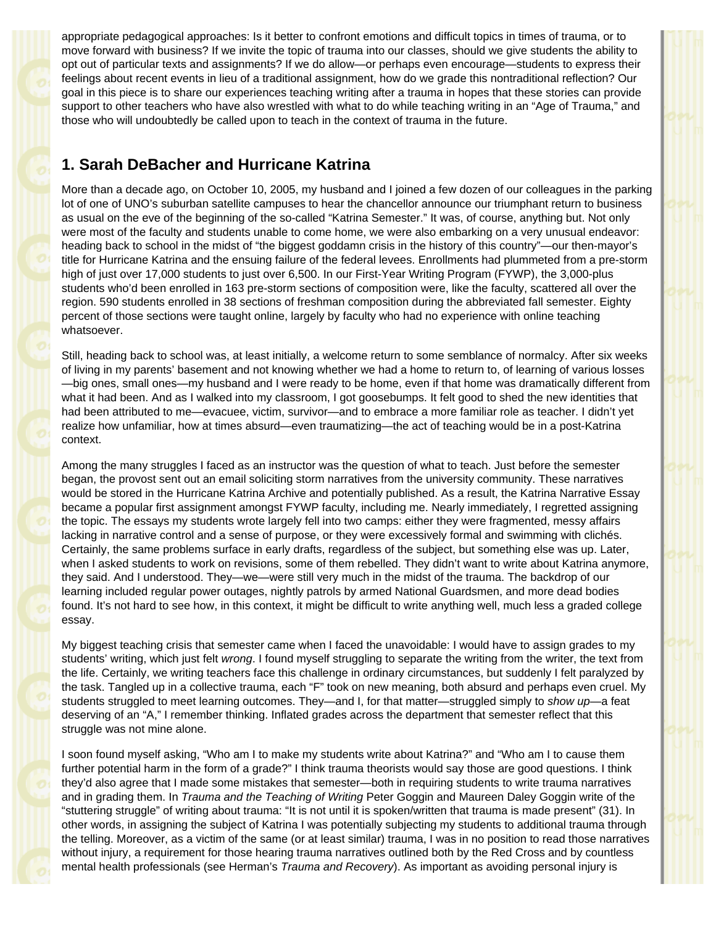appropriate pedagogical approaches: Is it better to confront emotions and difficult topics in times of trauma, or to move forward with business? If we invite the topic of trauma into our classes, should we give students the ability to opt out of particular texts and assignments? If we do allow—or perhaps even encourage—students to express their feelings about recent events in lieu of a traditional assignment, how do we grade this nontraditional reflection? Our goal in this piece is to share our experiences teaching writing after a trauma in hopes that these stories can provide support to other teachers who have also wrestled with what to do while teaching writing in an "Age of Trauma," and those who will undoubtedly be called upon to teach in the context of trauma in the future.

## **1. Sarah DeBacher and Hurricane Katrina**

More than a decade ago, on October 10, 2005, my husband and I joined a few dozen of our colleagues in the parking lot of one of UNO's suburban satellite campuses to hear the chancellor announce our triumphant return to business as usual on the eve of the beginning of the so-called "Katrina Semester." It was, of course, anything but. Not only were most of the faculty and students unable to come home, we were also embarking on a very unusual endeavor: heading back to school in the midst of "the biggest goddamn crisis in the history of this country"—our then-mayor's title for Hurricane Katrina and the ensuing failure of the federal levees. Enrollments had plummeted from a pre-storm high of just over 17,000 students to just over 6,500. In our First-Year Writing Program (FYWP), the 3,000-plus students who'd been enrolled in 163 pre-storm sections of composition were, like the faculty, scattered all over the region. 590 students enrolled in 38 sections of freshman composition during the abbreviated fall semester. Eighty percent of those sections were taught online, largely by faculty who had no experience with online teaching whatsoever.

Still, heading back to school was, at least initially, a welcome return to some semblance of normalcy. After six weeks of living in my parents' basement and not knowing whether we had a home to return to, of learning of various losses —big ones, small ones—my husband and I were ready to be home, even if that home was dramatically different from what it had been. And as I walked into my classroom, I got goosebumps. It felt good to shed the new identities that had been attributed to me—evacuee, victim, survivor—and to embrace a more familiar role as teacher. I didn't yet realize how unfamiliar, how at times absurd—even traumatizing—the act of teaching would be in a post-Katrina context.

Among the many struggles I faced as an instructor was the question of what to teach. Just before the semester began, the provost sent out an email soliciting storm narratives from the university community. These narratives would be stored in the Hurricane Katrina Archive and potentially published. As a result, the Katrina Narrative Essay became a popular first assignment amongst FYWP faculty, including me. Nearly immediately, I regretted assigning the topic. The essays my students wrote largely fell into two camps: either they were fragmented, messy affairs lacking in narrative control and a sense of purpose, or they were excessively formal and swimming with clichés. Certainly, the same problems surface in early drafts, regardless of the subject, but something else was up. Later, when I asked students to work on revisions, some of them rebelled. They didn't want to write about Katrina anymore, they said. And I understood. They—we—were still very much in the midst of the trauma. The backdrop of our learning included regular power outages, nightly patrols by armed National Guardsmen, and more dead bodies found. It's not hard to see how, in this context, it might be difficult to write anything well, much less a graded college essay.

My biggest teaching crisis that semester came when I faced the unavoidable: I would have to assign grades to my students' writing, which just felt *wrong*. I found myself struggling to separate the writing from the writer, the text from the life. Certainly, we writing teachers face this challenge in ordinary circumstances, but suddenly I felt paralyzed by the task. Tangled up in a collective trauma, each "F" took on new meaning, both absurd and perhaps even cruel. My students struggled to meet learning outcomes. They—and I, for that matter—struggled simply to *show up*—a feat deserving of an "A," I remember thinking. Inflated grades across the department that semester reflect that this struggle was not mine alone.

I soon found myself asking, "Who am I to make my students write about Katrina?" and "Who am I to cause them further potential harm in the form of a grade?" I think trauma theorists would say those are good questions. I think they'd also agree that I made some mistakes that semester—both in requiring students to write trauma narratives and in grading them. In *Trauma and the Teaching of Writing* Peter Goggin and Maureen Daley Goggin write of the "stuttering struggle" of writing about trauma: "It is not until it is spoken/written that trauma is made present" (31). In other words, in assigning the subject of Katrina I was potentially subjecting my students to additional trauma through the telling. Moreover, as a victim of the same (or at least similar) trauma, I was in no position to read those narratives without injury, a requirement for those hearing trauma narratives outlined both by the Red Cross and by countless mental health professionals (see Herman's *Trauma and Recovery*). As important as avoiding personal injury is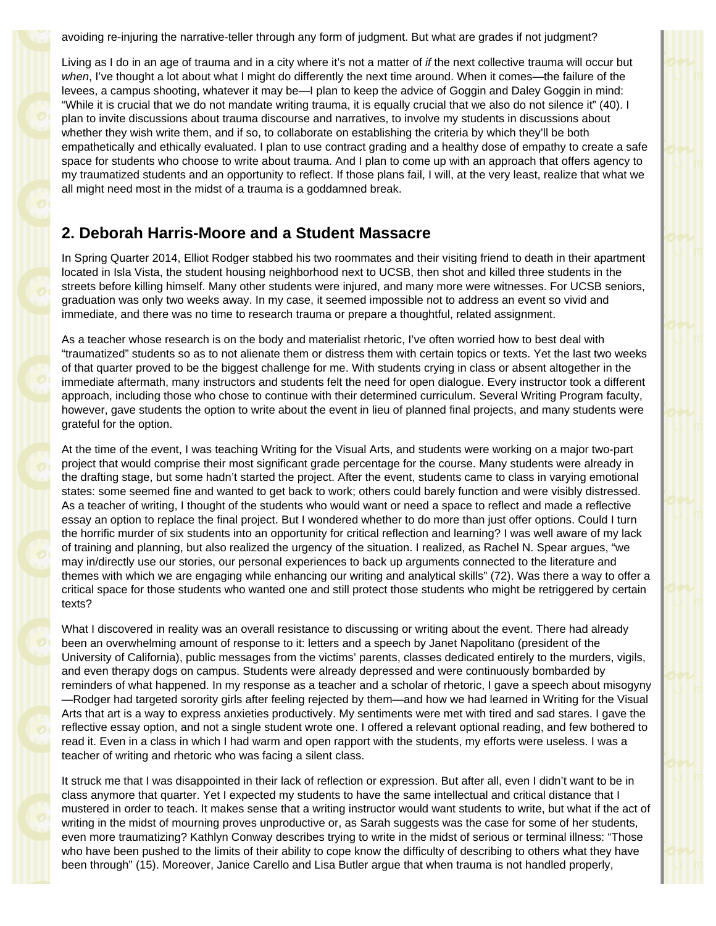avoiding re-injuring the narrative-teller through any form of judgment. But what are grades if not judgment?

Living as I do in an age of trauma and in a city where it's not a matter of *if* the next collective trauma will occur but *when*, I've thought a lot about what I might do differently the next time around. When it comes—the failure of the levees, a campus shooting, whatever it may be—I plan to keep the advice of Goggin and Daley Goggin in mind: "While it is crucial that we do not mandate writing trauma, it is equally crucial that we also do not silence it" (40). I plan to invite discussions about trauma discourse and narratives, to involve my students in discussions about whether they wish write them, and if so, to collaborate on establishing the criteria by which they'll be both empathetically and ethically evaluated. I plan to use contract grading and a healthy dose of empathy to create a safe space for students who choose to write about trauma. And I plan to come up with an approach that offers agency to my traumatized students and an opportunity to reflect. If those plans fail, I will, at the very least, realize that what we all might need most in the midst of a trauma is a goddamned break.

## **2. Deborah Harris-Moore and a Student Massacre**

In Spring Quarter 2014, Elliot Rodger stabbed his two roommates and their visiting friend to death in their apartment located in Isla Vista, the student housing neighborhood next to UCSB, then shot and killed three students in the streets before killing himself. Many other students were injured, and many more were witnesses. For UCSB seniors, graduation was only two weeks away. In my case, it seemed impossible not to address an event so vivid and immediate, and there was no time to research trauma or prepare a thoughtful, related assignment.

As a teacher whose research is on the body and materialist rhetoric, I've often worried how to best deal with "traumatized" students so as to not alienate them or distress them with certain topics or texts. Yet the last two weeks of that quarter proved to be the biggest challenge for me. With students crying in class or absent altogether in the immediate aftermath, many instructors and students felt the need for open dialogue. Every instructor took a different approach, including those who chose to continue with their determined curriculum. Several Writing Program faculty, however, gave students the option to write about the event in lieu of planned final projects, and many students were grateful for the option.

At the time of the event, I was teaching Writing for the Visual Arts, and students were working on a major two-part project that would comprise their most significant grade percentage for the course. Many students were already in the drafting stage, but some hadn't started the project. After the event, students came to class in varying emotional states: some seemed fine and wanted to get back to work; others could barely function and were visibly distressed. As a teacher of writing, I thought of the students who would want or need a space to reflect and made a reflective essay an option to replace the final project. But I wondered whether to do more than just offer options. Could I turn the horrific murder of six students into an opportunity for critical reflection and learning? I was well aware of my lack of training and planning, but also realized the urgency of the situation. I realized, as Rachel N. Spear argues, "we may in/directly use our stories, our personal experiences to back up arguments connected to the literature and themes with which we are engaging while enhancing our writing and analytical skills" (72). Was there a way to offer a critical space for those students who wanted one and still protect those students who might be retriggered by certain texts?

What I discovered in reality was an overall resistance to discussing or writing about the event. There had already been an overwhelming amount of response to it: letters and a speech by Janet Napolitano (president of the University of California), public messages from the victims' parents, classes dedicated entirely to the murders, vigils, and even therapy dogs on campus. Students were already depressed and were continuously bombarded by reminders of what happened. In my response as a teacher and a scholar of rhetoric, I gave a speech about misogyny —Rodger had targeted sorority girls after feeling rejected by them—and how we had learned in Writing for the Visual Arts that art is a way to express anxieties productively. My sentiments were met with tired and sad stares. I gave the reflective essay option, and not a single student wrote one. I offered a relevant optional reading, and few bothered to read it. Even in a class in which I had warm and open rapport with the students, my efforts were useless. I was a teacher of writing and rhetoric who was facing a silent class.

It struck me that I was disappointed in their lack of reflection or expression. But after all, even I didn't want to be in class anymore that quarter. Yet I expected my students to have the same intellectual and critical distance that I mustered in order to teach. It makes sense that a writing instructor would want students to write, but what if the act of writing in the midst of mourning proves unproductive or, as Sarah suggests was the case for some of her students, even more traumatizing? Kathlyn Conway describes trying to write in the midst of serious or terminal illness: "Those who have been pushed to the limits of their ability to cope know the difficulty of describing to others what they have been through" (15). Moreover, Janice Carello and Lisa Butler argue that when trauma is not handled properly,